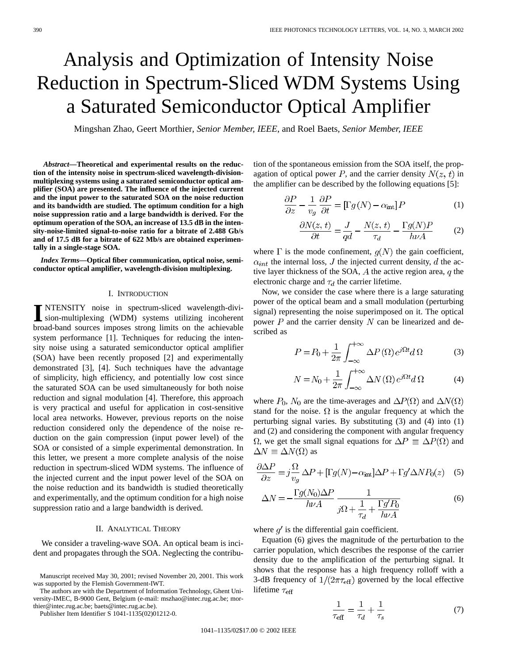# Analysis and Optimization of Intensity Noise Reduction in Spectrum-Sliced WDM Systems Using a Saturated Semiconductor Optical Amplifier

Mingshan Zhao, Geert Morthier*, Senior Member, IEEE*, and Roel Baets*, Senior Member, IEEE*

*Abstract—***Theoretical and experimental results on the reduction of the intensity noise in spectrum-sliced wavelength-divisionmultiplexing systems using a saturated semiconductor optical amplifier (SOA) are presented. The influence of the injected current and the input power to the saturated SOA on the noise reduction and its bandwidth are studied. The optimum condition for a high noise suppression ratio and a large bandwidth is derived. For the optimum operation of the SOA, an increase of 13.5 dB in the intensity-noise-limited signal-to-noise ratio for a bitrate of 2.488 Gb/s and of 17.5 dB for a bitrate of 622 Mb/s are obtained experimentally in a single-stage SOA.**

*Index Terms—***Optical fiber communication, optical noise, semiconductor optical amplifier, wavelength-division multiplexing.**

# I. INTRODUCTION

II NTENSITY noise in spectrum-sliced wavelength-divi-<br>sion-multiplexing (WDM) systems utilizing incoherent<br>hand hand senuous improves streng limits on the schichard broad-band sources imposes strong limits on the achievable system performance [1]. Techniques for reducing the intensity noise using a saturated semiconductor optical amplifier (SOA) have been recently proposed [2] and experimentally demonstrated [3], [4]. Such techniques have the advantage of simplicity, high efficiency, and potentially low cost since the saturated SOA can be used simultaneously for both noise reduction and signal modulation [4]. Therefore, this approach is very practical and useful for application in cost-sensitive local area networks. However, previous reports on the noise reduction considered only the dependence of the noise reduction on the gain compression (input power level) of the SOA or consisted of a simple experimental demonstration. In this letter, we present a more complete analysis of the noise reduction in spectrum-sliced WDM systems. The influence of the injected current and the input power level of the SOA on the noise reduction and its bandwidth is studied theoretically and experimentally, and the optimum condition for a high noise suppression ratio and a large bandwidth is derived.

# II. ANALYTICAL THEORY

We consider a traveling-wave SOA. An optical beam is incident and propagates through the SOA. Neglecting the contribu-

The authors are with the Department of Information Technology, Ghent University-IMEC, B-9000 Gent, Belgium (e-mail: mszhao@intec.rug.ac.be; morthier@intec.rug.ac.be; baets@intec.rug.ac.be).

Publisher Item Identifier S 1041-1135(02)01212-0.

tion of the spontaneous emission from the SOA itself, the propagation of optical power P, and the carrier density  $N(z, t)$  in the amplifier can be described by the following equations [5]:

$$
\frac{\partial P}{\partial z} - \frac{1}{v_g} \frac{\partial P}{\partial t} = [\Gamma g(N) - \alpha_{\rm int}] P \tag{1}
$$

$$
\frac{\partial N(z,t)}{\partial t} = \frac{J}{qd} - \frac{N(z,t)}{\tau_d} - \frac{\Gamma g(N)P}{h\nu A} \tag{2}
$$

where  $\Gamma$  is the mode confinement,  $q(N)$  the gain coefficient,  $\alpha_{int}$  the internal loss, J the injected current density, d the active layer thickness of the SOA,  $A$  the active region area,  $q$  the electronic charge and  $\tau_d$  the carrier lifetime.

Now, we consider the case where there is a large saturating power of the optical beam and a small modulation (perturbing signal) representing the noise superimposed on it. The optical power  $P$  and the carrier density  $N$  can be linearized and described as

$$
P = P_0 + \frac{1}{2\pi} \int_{-\infty}^{+\infty} \Delta P(\Omega) e^{j\Omega t} d\Omega \tag{3}
$$

$$
N = N_0 + \frac{1}{2\pi} \int_{-\infty}^{+\infty} \Delta N(\Omega) e^{j\Omega t} d\Omega \tag{4}
$$

where  $P_0$ ,  $N_0$  are the time-averages and  $\Delta P(\Omega)$  and  $\Delta N(\Omega)$ stand for the noise.  $\Omega$  is the angular frequency at which the perturbing signal varies. By substituting (3) and (4) into (1) and (2) and considering the component with angular frequency  $\Omega$ , we get the small signal equations for  $\Delta P \equiv \Delta P(\Omega)$  and  $\Delta N \equiv \Delta N(\Omega)$  as

$$
\frac{\partial \Delta P}{\partial z} = j \frac{\Omega}{v_g} \Delta P + [\Gamma g(N) - \alpha_{\text{int}}] \Delta P + \Gamma g' \Delta N P_0(z) \quad (5)
$$

$$
\Delta N = -\frac{\Gamma g(N_0)\Delta P}{h\nu A} \frac{1}{j\Omega + \frac{1}{\tau_d} + \frac{\Gamma g' P_0}{h\nu A}}
$$
(6)

where  $g'$  is the differential gain coefficient.

Equation (6) gives the magnitude of the perturbation to the carrier population, which describes the response of the carrier density due to the amplification of the perturbing signal. It shows that the response has a high frequency rolloff with a 3-dB frequency of  $1/(2\pi\tau_{\text{eff}})$  governed by the local effective lifetime  $\tau_{\text{eff}}$ 

$$
\frac{1}{\tau_{\text{eff}}} = \frac{1}{\tau_d} + \frac{1}{\tau_s} \tag{7}
$$

Manuscript received May 30, 2001; revised November 20, 2001. This work was supported by the Flemish Government-IWT.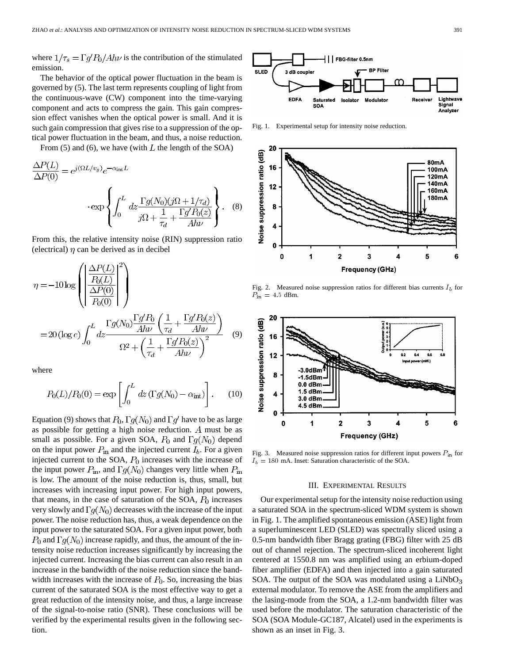where  $1/\tau_s = \Gamma g' P_0 / A h \nu$  is the contribution of the stimulated emission.

The behavior of the optical power fluctuation in the beam is governed by (5). The last term represents coupling of light from the continuous-wave (CW) component into the time-varying component and acts to compress the gain. This gain compression effect vanishes when the optical power is small. And it is such gain compression that gives rise to a suppression of the optical power fluctuation in the beam, and thus, a noise reduction.

From (5) and (6), we have (with  $L$  the length of the SOA)

$$
\frac{\Delta P(L)}{\Delta P(0)} = e^{j(\Omega L/v_g)} e^{-\alpha_{\text{int}}L}
$$

$$
\cdot \exp\left\{\int_0^L dz \frac{\Gamma g(N_0)(j\Omega + 1/\tau_d)}{j\Omega + \frac{1}{\tau_d} + \frac{\Gamma g' P_0(z)}{Ah\nu}}\right\}.
$$
 (8)

From this, the relative intensity noise (RIN) suppression ratio (electrical)  $\eta$  can be derived as in decibel

$$
\eta = -10 \log \left( \left| \frac{\frac{\Delta P(L)}{P_0(L)}}{\frac{\Delta P(0)}{P_0(0)}} \right|^2 \right)
$$
  
= 20 (log *e*) 
$$
\int_0^L dz \frac{\Gamma g(N_0) \frac{\Gamma g' P_0}{A h \nu} \left( \frac{1}{\tau_d} + \frac{\Gamma g' P_0(z)}{A h \nu} \right)}{\Omega^2 + \left( \frac{1}{\tau_d} + \frac{\Gamma g' P_0(z)}{A h \nu} \right)^2} \tag{9}
$$

where

$$
P_0(L)/P_0(0) = \exp\left[\int_0^L dz \left(\Gamma g(N_0) - \alpha_{\rm int}\right)\right].
$$
 (10)

Equation (9) shows that  $P_0$ ,  $\Gamma g(N_0)$  and  $\Gamma g'$  have to be as large as possible for getting a high noise reduction.  $A$  must be as small as possible. For a given SOA,  $P_0$  and  $\Gamma g(N_0)$  depend on the input power  $P_{\text{in}}$  and the injected current  $I_b$ . For a given injected current to the SOA,  $P_0$  increases with the increase of the input power  $P_{\text{in}}$ , and  $\Gamma g(N_0)$  changes very little when  $P_{\text{in}}$ is low. The amount of the noise reduction is, thus, small, but increases with increasing input power. For high input powers, that means, in the case of saturation of the SOA,  $P_0$  increases very slowly and  $\Gamma g(N_0)$  decreases with the increase of the input power. The noise reduction has, thus, a weak dependence on the input power to the saturated SOA. For a given input power, both  $P_0$  and  $\Gamma g(N_0)$  increase rapidly, and thus, the amount of the intensity noise reduction increases significantly by increasing the injected current. Increasing the bias current can also result in an increase in the bandwidth of the noise reduction since the bandwidth increases with the increase of  $P_0$ . So, increasing the bias current of the saturated SOA is the most effective way to get a great reduction of the intensity noise, and thus, a large increase of the signal-to-noise ratio (SNR). These conclusions will be verified by the experimental results given in the following section.



Fig. 1. Experimental setup for intensity noise reduction.



Fig. 2. Measured noise suppression ratios for different bias currents  $I<sub>b</sub>$  for  $P_{\rm in} = 4.5$  dBm.



Fig. 3. Measured noise suppression ratios for different input powers  $P_{\text{in}}$  for  $I_b = 180$  mA. Inset: Saturation characteristic of the SOA.

### III. EXPERIMENTAL RESULTS

Our experimental setup for the intensity noise reduction using a saturated SOA in the spectrum-sliced WDM system is shown in Fig. 1. The amplified spontaneous emission (ASE) light from a superluminescent LED (SLED) was spectrally sliced using a 0.5-nm bandwidth fiber Bragg grating (FBG) filter with 25 dB out of channel rejection. The spectrum-sliced incoherent light centered at 1550.8 nm was amplified using an erbium-doped fiber amplifier (EDFA) and then injected into a gain saturated SOA. The output of the SOA was modulated using a  $LiNbO<sub>3</sub>$ external modulator. To remove the ASE from the amplifiers and the lasing-mode from the SOA, a 1.2-nm bandwidth filter was used before the modulator. The saturation characteristic of the SOA (SOA Module-GC187, Alcatel) used in the experiments is shown as an inset in Fig. 3.